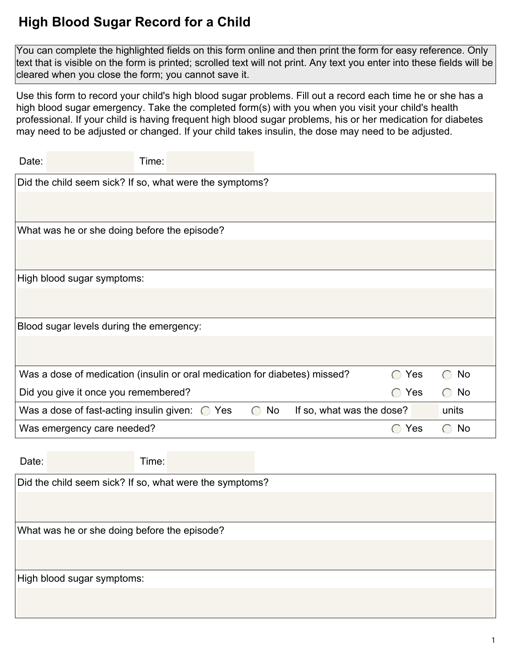## **High Blood Sugar Record for a Child**

You can complete the highlighted fields on this form online and then print the form for easy reference. Only text that is visible on the form is printed; scrolled text will not print. Any text you enter into these fields will be cleared when you close the form; you cannot save it.

Use this form to record your child's high blood sugar problems. Fill out a record each time he or she has a high blood sugar emergency. Take the completed form(s) with you when you visit your child's health professional. If your child is having frequent high blood sugar problems, his or her medication for diabetes may need to be adjusted or changed. If your child takes insulin, the dose may need to be adjusted.

| Time:<br>Date:                                                             |                 |                           |                                                      |                                                     |
|----------------------------------------------------------------------------|-----------------|---------------------------|------------------------------------------------------|-----------------------------------------------------|
| Did the child seem sick? If so, what were the symptoms?                    |                 |                           |                                                      |                                                     |
|                                                                            |                 |                           |                                                      |                                                     |
| What was he or she doing before the episode?                               |                 |                           |                                                      |                                                     |
|                                                                            |                 |                           |                                                      |                                                     |
| High blood sugar symptoms:                                                 |                 |                           |                                                      |                                                     |
|                                                                            |                 |                           |                                                      |                                                     |
| Blood sugar levels during the emergency:                                   |                 |                           |                                                      |                                                     |
|                                                                            |                 |                           |                                                      |                                                     |
| Was a dose of medication (insulin or oral medication for diabetes) missed? |                 |                           | Yes<br>$\left( \begin{array}{c} \end{array} \right)$ | No<br>$\left( \begin{array}{c} \end{array} \right)$ |
| Did you give it once you remembered?                                       |                 |                           | $\bigcirc$ Yes                                       | No<br>$\bigcirc$                                    |
| Was a dose of fast-acting insulin given: $\bigcirc$ Yes                    | No<br>$\bigcap$ | If so, what was the dose? |                                                      | units                                               |
| Was emergency care needed?                                                 |                 |                           | Yes<br>$(\ )$                                        | No<br>$\left( \begin{array}{c} \end{array} \right)$ |

| Date: |                                                         | Time: |  |  |  |
|-------|---------------------------------------------------------|-------|--|--|--|
|       | Did the child seem sick? If so, what were the symptoms? |       |  |  |  |
|       |                                                         |       |  |  |  |
|       | What was he or she doing before the episode?            |       |  |  |  |
|       |                                                         |       |  |  |  |
|       |                                                         |       |  |  |  |
|       | High blood sugar symptoms:                              |       |  |  |  |
|       |                                                         |       |  |  |  |